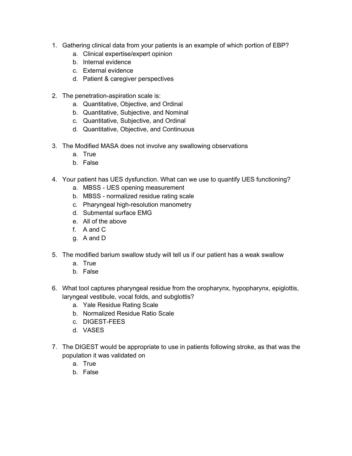- 1. Gathering clinical data from your patients is an example of which portion of EBP?
	- a. Clinical expertise/expert opinion
	- b. Internal evidence
	- c. External evidence
	- d. Patient & caregiver perspectives
- 2. The penetration-aspiration scale is:
	- a. Quantitative, Objective, and Ordinal
	- b. Quantitative, Subjective, and Nominal
	- c. Quantitative, Subjective, and Ordinal
	- d. Quantitative, Objective, and Continuous
- 3. The Modified MASA does not involve any swallowing observations
	- a. True
	- b. False
- 4. Your patient has UES dysfunction. What can we use to quantify UES functioning?
	- a. MBSS UES opening measurement
	- b. MBSS normalized residue rating scale
	- c. Pharyngeal high-resolution manometry
	- d. Submental surface EMG
	- e. All of the above
	- f. A and C
	- g. A and D
- 5. The modified barium swallow study will tell us if our patient has a weak swallow
	- a. True
	- b. False
- 6. What tool captures pharyngeal residue from the oropharynx, hypopharynx, epiglottis, laryngeal vestibule, vocal folds, and subglottis?
	- a. Yale Residue Rating Scale
	- b. Normalized Residue Ratio Scale
	- c. DIGEST-FEES
	- d. VASES
- 7. The DIGEST would be appropriate to use in patients following stroke, as that was the population it was validated on
	- a. True
	- b. False